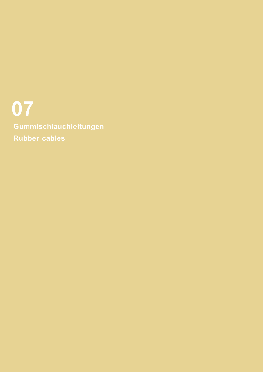# **Gummischlauchleitungen Rubber cables 07**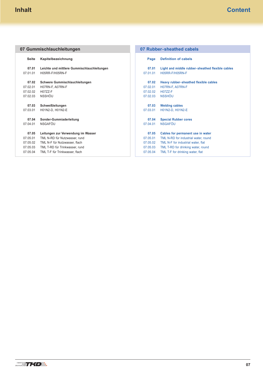#### <span id="page-1-0"></span>**Seite Kapitelbezeichnung 07.01 Leichte und mittlere Gummischlauchleitungen** [07.01.01 H05RR-F/H05RN-F](#page-2-0) **07.02 Schwere Gummischlauchleitungen** [07.02.01 H07RN-F, A07RN-F](#page-4-0) 07.02.02 [H07ZZ-F](#page-6-0) [07.02.03 NSSHÖU](#page-8-0) **07.03 Schweißleitungen** [07.03.01 H01N2-D, H01N2-E](#page-10-0) **07.04 Sonder-Gummiaderleitung** [07.04.01 NSGAFÖU](#page-12-0) **07.05 Leitungen zur Verwendung im Wasser** [07.05.01 TML N-RD für Nutzwasser, rund](#page-14-0) 07.05.02 [TML N-F für Nutzwasser, flach](#page-16-0) [07.05.03 TML T-RD für Trinkwasser, rund](#page-18-0) [07.05.04 TML T-F für Trinkwasser, flach](#page-20-0) **Page Definition of cabels 07.01 Light and middle rubber-sheathed flexible cables** [07.01.01 H05RR-F/H05RN-F](#page-2-0) **07.02 Heavy rubber-sheathed flexible cables** [07.02.01 H07RN-F, A07RN-F](#page-4-0) [07.02.02 H07ZZ-F](#page-6-0) [07.02.03 NSSHÖU](#page-8-0) **07.03 Welding cables** [07.03.01 H01N2-D, H01N2-E](#page-10-0) **07.04 Special Rubber cores** [07.04.01 NSGAFÖU](#page-12-0) **07.05 Cables for permanent use in water** [07.05.01 TML N-RD for industrial water, round](#page-14-0) 07.05.02 [TML N-F for industrial water, flat](#page-16-0) 07.05.03 [TML T-RD for drinking water, round](#page-18-0) 07.05.04 [TML T-F for drinking water, flat](#page-20-0) **07 Gummischlauchleitungen 07 Rubber-sheathed cabels**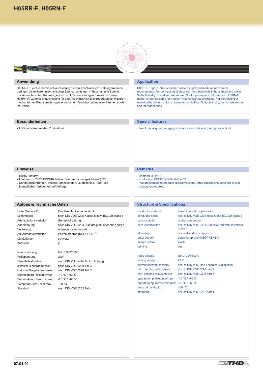

# <span id="page-2-0"></span>**Anwendung**

H05RR-F: Leichte Gummischlauchleitung für den Anschluss von Elektrogeräten bei geringen bis mittleren mechanischen Beanspruchungen in Haushalt und Büro in trockenen, feuchten Räumen, jedoch nicht für den ständigen Einsatz im Freien. H05RN-F: Gummischlauchleitung für den Anschluss von Elektrogeräten bei mittleren mechanischen Beanspruchungen in trockenen, feuchten und nassen Räumen sowie im Freien.

# **Besonderheiten**

LBS-frei/silikonfrei (bei Produktion)

# **Application**

H05RR-F: light rubber-sheathed cable for light and medium mechanical requirements. For connecting of electrical hand-held units in household and office. Suitable in dry, humid and wet rooms. Not for permanent outdoor use. H05RN-F: rubber-sheathed cable for medium mechanical requirements. For connecting of electrical hand-held units in household and office. Suitable in dry, humid, wet rooms and for outdoor use.

# **Special features**

free from lacquer damaging substances and silicone (during production)

#### **Hinweise**

- RoHS-konform
- konform zur 73/23/EWG-Richtlinie ("Niederspannungsrichtlinie") CE.
- Sonderausführungen, andere Abmessungen, Querschnitte, Ader- und Mantelfarben fertigen wir auf Anfrage.

#### **Aufbau & Technische Daten**

Leiter Werkstoff Cu-Litze blank oder verzinnt Leiterklasse nach DIN VDE 0295 Klasse 5 bzw. IEC 228 class 5 Aderisolationswerkstoff Gummi-Mischung Aderkennung nach DIN VDE 0293-308 farbig mit oder ohne gn/ge Verseilung **Adern in Lagen verseilt** Außenmantelwerkstoff Polychloropren (NEOPRENE®) Mantelfarbe schwarz Aufdruck ja

Nennspannung Uo/U: 300/500 V Prüfspannung 2 kV kleinster Biegeradius fest nach DIN VDE 0298 Teil 3 kleinster Biegeradius bewegt nach DIN VDE 0298 Teil 3 Betriebstemp. fest min/max -40 °C / +60 C Betriebstemp. bew. min/max -25 °C / +60 °C Temperatur am Leiter max. +60 °C Standard nach DIN VDE 0282 Teil 4

Strombelastbarkeit nach DIN VDE siehe techn. Anhang

**Remarks**

- conform to RoHS
- conform to 73/23/EWG-Guideline CE
- We are pleased to produce special versions, other dimensions, core and jacket colours on request.

# **Structure & Specifications**

conductor material bare or tinned copper strand conductor class acc. to DIN VDE 0295 class 5 and IEC 228 class 5 core insulation rubber compound core identification acc. to DIN VDE 0293-308 coloured with or without stranding cores stranded in layers

outer sheath polychloroprene (NEOPRENE<sup>®</sup>) sheath colour black

printing yes rated voltage Uo/U: 300/500 V testing voltage 2 kV min. bending radius fixed acc. to DIN VDE 0298 part 3 min. bending radius moved acc. to DIN VDE 0298 part 3 operat. temp. fixed min/max -40 °C / +60 C

gn/ye

current carrying capacity acc. to DIN VDE, see Technical Guidelines operat. temp. moved min/max -25 °C / +60 °C temp. at conductor  $+60 °C$ standard acc. to DIN VDE 0282 part 4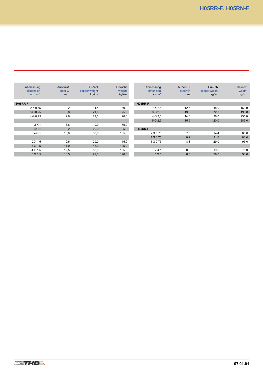| Abmessung<br>dimension<br>$n \times mm^2$ | Außen-Ø<br>outer $\varnothing$<br>mm | Cu-Zahl<br>copper weight<br>kg/km | Gewicht<br>weight<br>kg/km | Abmessung<br>dimension<br>$n \times mm^2$ | Außen-Ø<br>outer $\varnothing$<br>mm | Cu-Zahl<br>copper weight<br>kg/km | Gewicht<br>weight<br>kg/km |
|-------------------------------------------|--------------------------------------|-----------------------------------|----------------------------|-------------------------------------------|--------------------------------------|-----------------------------------|----------------------------|
| <b>H05RR-F</b>                            |                                      |                                   |                            | <b>H05RR-F</b>                            |                                      |                                   |                            |
| 2 X 0.75                                  | 8,2                                  | 14,4                              | 60,0                       | $2 \times 2.5$                            | 12,5                                 | 48,0                              | 160,0                      |
| 3 G 0,75                                  | 8,8                                  | 21,6                              | 75,0                       | 3 G 2.5                                   | 13,0                                 | 72,0                              | 190,0                      |
| 4 G 0,75                                  | 9,6                                  | 29,0                              | 90,0                       | 4 G 2.5                                   | 14,0                                 | 96,0                              | 235,0                      |
|                                           |                                      |                                   |                            | 5 G 2.5                                   | 15,5                                 | 120,0                             | 285,0                      |
| 2 X 1                                     | 8,8                                  | 19,0                              | 75,0                       |                                           |                                      |                                   |                            |
| 3 G 1                                     | 9,2                                  | 29,0                              | 85,0                       | H05RN-F                                   |                                      |                                   |                            |
| 4 G 1                                     | 10,0                                 | 38,0                              | 105,0                      | 2 X 0.75                                  | 7,5                                  | 14,4                              | 65,0                       |
|                                           |                                      |                                   |                            | 3 G 0.75                                  | 8,2                                  | 21,6                              | 80,0                       |
| 2 X 1.5                                   | 10,5                                 | 29,0                              | 115,0                      | 4 G 0.75                                  | 8,8                                  | 29,0                              | 95,0                       |
| 3 G 1.5                                   | 11,0                                 | 43,0                              | 135,0                      |                                           |                                      |                                   |                            |
| 4 G 1.5                                   | 12,5                                 | 58,0                              | 165,0                      | 2 X 1                                     | 8,0                                  | 19,0                              | 75,0                       |
| 5 G 1.5                                   | 13,5                                 | 72,0                              | 190,0                      | 3 G 1                                     | 8,5                                  | 29,0                              | 90,0                       |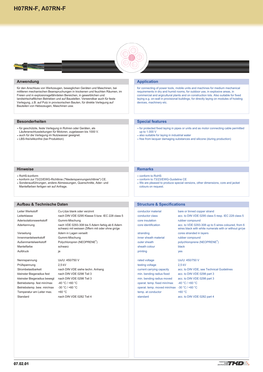# <span id="page-4-0"></span>**[H07RN-F, A07RN-F](#page-1-0)**



#### **Anwendung**

für den Anschluss von Werkzeugen, beweglichen Geräten und Maschinen, bei mittleren mechanischen Beanspruchungen in trockenen und feuchten Räumen, im Freien und in explosionsgefährdeten Bereichen, in gewerblichen und landwirtschaftlichen Betrieben und auf Baustellen. Verwendbar auch für feste Verlegung, z.B. auf Putz in provisorischen Bauten, für direkte Verlegung auf Bauteilen von Hebezeugen, Maschinen usw.

# **Besonderheiten**

- für geschützte, feste Verlegung in Rohren oder Geräten, als Läuferanschlussleitungen für Motoren, zugelassen bis 1000 V.
- auch für die Verlegung im Nutzwasser geeignet.
- LBS-frei/silikonfrei (bei Produktion)

#### **Hinweise**

- RoHS-konform
- konform zur 73/23/EWG-Richtlinie ("Niederspannungsrichtlinie") CE.
- Sonderausführungen, andere Abmessungen, Querschnitte, Ader- und Mantelfarben fertigen wir auf Anfrage.

#### **Aufbau & Technische Daten**

Leiter Werkstoff Cu-Litze blank oder verzinnt Leiterklasse nach DIN VDE 0295 Klasse 5 bzw. IEC 228 class 5 Aderisolationswerkstoff Gummi-Mischung Aderkennung nach VDE 0293-308 bis 5 Adern farbig ab 6 Adern schwarz mit weissen Ziffern mit oder ohne gn/ge Verseilung **Adern in Lagen verseilt** Innenmantelwerkstoff Gummi-Mischung Außenmantelwerkstoff Polychloropren (NEOPRENE®) Mantelfarbe schwarz

Nennspannung Uo/U: 450/750 V Prüfspannung 2,5 kV kleinster Biegeradius fest nach DIN VDE 0298 Teil 3 kleinster Biegeradius bewegt nach DIN VDE 0298 Teil 3 Betriebstemp. fest min/max -40 °C / +60 °C Betriebstemp. bew. min/max -30 °C / +60 °C Temperatur am Leiter max. +60 °C Standard nach DIN VDE 0282 Teil 4

Aufdruck ia in italian kontrolle ia analysis ia analysis ia analysis ia analysis ia analysis ia analysis ia an

Strombelastbarkeit nach DIN VDE siehe techn. Anhang

# **Application**

for connecting of power tools, mobile units and machines for medium mechanical requirements in dry and humid rooms, for outdoor use, in explosive areas, in commercial and argicultural plants and on construction lots. Also suitable for fixed laying e.g. on-wall in provisional buildings, for directly laying on modules of hoisting devices, machinery etc.

# **Special features**

- for protected fixed laying in pipes or units and as motor connecting cable permitted up to 1.000 V
- also suitable for laying in industrial water
- free from lacquer damaging substances and silicone (during production)

#### **Remarks**

- conform to RoHS
- conform to 73/23/EWG-Guideline CE
- We are pleased to produce special versions, other dimensions, core and jacket colours on request.

# **Structure & Specifications**

conductor material bare or tinned copper strand core insulation rubber compound inner sheath material rubber compound

sheath colour black printing yes

testing voltage 2,5 kV min. bending radius fixed acc. to DIN VDE 0298 part 3 min. bending radius moved acc. to DIN VDE 0298 part 3 operat. temp. fixed min/max -40 °C / +60 °C operat. temp. moved min/max -30 °C / +60 °C temp. at conductor  $+60 °C$ standard acc. to DIN VDE 0282 part 4

conductor class acc. to DIN VDE 0295 class 5 resp. IEC 228 class 5 core identification acc. to VDE 0293-308 up to 5 wires coloured, from 6 wires black with white numerals with or without gn/ye stranding cores stranded in layers outer sheath polychloroprene (NEOPRENE<sup>®</sup>) rated voltage Uo/U: 450/750 V

current carrying capacity acc. to DIN VDE, see Technical Guidelines



**07.02.01**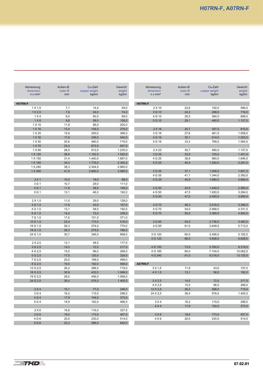| Abmessung      | Außen-Ø             | Cu-Zahl       | Gewicht | Abmessung      | Außen-Ø | Cu-Zahl       | Gewicht  |
|----------------|---------------------|---------------|---------|----------------|---------|---------------|----------|
| dimension      | outer $\varnothing$ | copper weight | weight  | dimension      | outer Ø | copper weight | weight   |
| $n \times mm2$ | mm                  | kg/km         | kg/km   | $n \times mm2$ | mm      | kg/km         | kg/km    |
| H07RN-F        |                     |               |         | H07RN-F        |         |               |          |
| 1 X 1,5        | 7,1                 | 14,4          | 59,0    | 2 X 10         | 22,6    | 192,0         | 586,0    |
| 1 X 2,5        | 7,9                 | 24,0          | 74,0    | 3 G 10         | 24,2    | 288,0         | 716,0    |
| 1 X 4          | 9,0                 | 60,0          | 99,0    | 4 G 10         | 26,5    | 384,0         | 898,0    |
| 1X6            | 9,8                 | 58,0          | 129,0   | 5 G 10         | 29,1    | 480,0         | 1.107,0  |
| 1 X 10         | 11,9                | 96,0          | 200,0   |                |         |               |          |
| 1 X 16         | 13,4                | 154,0         | 279,0   | 2 X 16         | 25,7    | 307,0         | 810,0    |
| 1 X 25         | 15,8                | 240,0         | 396,0   | 3 G 16         | 27,6    | 461,0         | 1.008,0  |
| 1 X 35         | 17,9                | 336,0         | 540,0   | 4 G 16         | 30,1    | 614,0         | 1.253,0  |
| 1 X 50         | 20,6                | 480,0         | 719,0   | 5 G 16         | 33,3    | 768,0         | 1.564,0  |
| 1 X 70         | 23,3                | 672,0         | 947,0   |                |         |               |          |
| 1 X 95         | 26,0                | 912,0         | 1.230,0 | 2 X 25         | 30,7    | 480,0         | 1.157,0  |
| 1 X 120        | 28,6                | 1.152,0       | 1.520,0 | 3 G 25         | 33,0    | 720,0         | 1.451,0  |
| 1 X 150        | 31,4                | 1.440,0       | 1.887,0 | 4 G 25         | 36,6    | 960,0         | 1.846,0  |
| 1 X 185        | 34,4                | 1.776,0       | 2.300,0 | 5 G 25         | 40,4    | 1.200,0       | 2.291,0  |
| 1 X 240        | 38,3                | 2.304,0       | 2.960,0 |                |         |               |          |
| 1 X 300        | 41,9                | 2.880,0       | 3.585,0 | 3 G 35         | 37,1    | 1.008,0       | 1.901,0  |
|                |                     |               |         | 4 G 35         | 41,1    | 1.344,0       | 2.393,0  |
| 2 X 1          | 10,0                | 19,0          | 89,0    | 5 G 35         | 45,8    | 1.680,0       | 2.684,0  |
| 3 G 1          | 10,7                | 29,0          | 111,0   |                |         |               |          |
| 4 G 1          | 11,9                | 38,0          | 146,0   | 3 G 50         | 42,9    | 1.440,0       | 2.580,0  |
| 5 G 1          | 13,1                | 46,0          | 192,0   | 4 G 50         | 47,5    | 1.920,0       | 3.284,0  |
|                |                     |               |         | 5 G 50         | 47,0    | 2.400,0       | 3.950,0  |
| $2 \times 1,5$ | 11,0                | 29,0          | 128,0   |                |         |               |          |
| 3 G 1,5        | 11,9                | 43,0          | 157,0   | 3 G 70         | 48,3    | 2.016,0       | 3.386,0  |
| 4 G 1,5        | 13,1                | 58,0          | 192,0   | 4 G 70         | 54,0    | 2.688,0       | 4.331,0  |
| 5 G 1,5        | 14,4                | 72,0          | 238,0   | 5 G 70         | 50,0    | 3.360,0       | 4.893,0  |
| 7 G 1,5        | 17,5                | 101,0         | 371,0   |                |         |               |          |
| 12 G 1,5       | 22,4                | 173,0         | 516,0   | 3 G 95         | 54,0    | 2.736,0       | 4.483,0  |
| 18 G 1,5       | 26,3                | 274,0         | 770,0   | 4 G 95         | 61,0    | 3.648,0       | 5.712,0  |
| 19 G 1,5       | 26,3                | 275,0         | 788,0   |                |         |               |          |
| 24 G 1,5       | 30,7                | 346,0         | 968,0   | 3 G 120        | 60,0    | 3.456,0       | 5.182,0  |
|                |                     |               |         | 4 G 120        | 66,0    | 4.608,0       | 6.828,0  |
| $2 \times 2.5$ | 13,1                | 48,0          | 177,0   |                |         |               |          |
| 3 G 2,5        | 14,0                | 72,0          | 217,0   | 4 G 150        | 73,0    | 5.760,0       | 8.319,0  |
| 4 G 2,5        | 15,5                | 96,0          | 269,0   | 4 G 185        | 80,0    | 7.104,0       | 10.062,0 |
| 5 G 2,5        | 17,0                | 120,0         | 329,0   | 4 G 240        | 91,0    | 9.216,0       | 13.125,0 |
| 7 G 2,5        | 20,0                | 168,0         | 499,0   |                |         |               |          |
| 8 G 2,5        | 19,5                | 192,0         | 590,0   | A07RN-F        |         |               |          |
| 12 G 2,5       | 26,2                | 288,0         | 719,0   | 3 X 1,5        | 11,9    | 43,0          | 157,0    |
| 18 G 2,5       | 30,9                | 432,0         | 1.068,0 | 4 X 1,5        | 13,1    | 58,0          | 192,0    |
| 19 G 2,5       | 28,0                | 456,0         | 1.068,0 |                |         |               |          |
| 24 G 2,5       | 36,4                | 576,0         | 1.400,0 | 3 X 2,5        | 14,0    | 72,0          | 217,0    |
|                |                     |               |         | 4 X 2,5        | 15,5    | 96,0          | 269,0    |
| 2 X 4          | 15,1                | 77,0          | 249,0   | 12 X 2,5       | 26,2    | 288,0         | 719,0    |
| 3 G 4          | 16,2                | 115,0         | 298,0   | 24 X 2,5       | 36,4    | 576,0         | 1.400,0  |
| 4 G 4          | 17,9                | 154,0         | 373,0   |                |         |               |          |
| 5 G 4          | 19,9                | 192,0         | 466,0   | 3 X 4          | 16,2    | 115,0         | 298,0    |
|                |                     |               |         | 4 X 4          | 17,9    | 154,0         | 373,0    |
| 2X6            | 16,8                | 116,0         | 327,0   |                |         |               |          |
| 3G6            | 18,0                | 173,0         | 407,0   | 3X6            | 18,0    | 173,0         | 407,0    |
| 4 G 6          | 20,0                | 230,0         | 514,0   | 4 X 6          | 20,0    | 230,0         | 514,0    |
| 5 G 6          | 22,2                | 288,0         | 640,0   |                |         |               |          |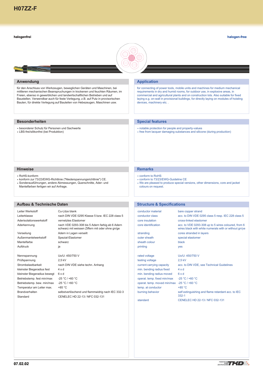#### <span id="page-6-0"></span>**halogenfrei**

**halogen-free**



# **Anwendung**

für den Anschluss von Werkzeugen, beweglichen Geräten und Maschinen, bei mittleren mechanischen Beanspruchungen in trockenen und feuchten Räumen, im Freien, ebenso in gewerblichen und landwirtschaftlichen Betrieben und auf Baustellen. Verwendbar auch für feste Verlegung, z.B. auf Putz in provisorischen Bauten, für direkte Verlegung auf Bauteilen von Hebezeugen, Maschinen usw.

# **Besonderheiten**

- besonderer Schutz für Personen und Sachwerte
- LBS-frei/silikonfrei (bei Produktion)

# **Application**

for connecting of power tools, mobile units and machines for medium mechanical requirements in dry and humid rooms, for outdoor use, in explosive areas, in commercial and agricultural plants and on construction lots. Also suitable for fixed laying e.g. on-wall in provisional buildings, for directly laying on modules of hoisting devices, machinery etc..

# **Special features**

- notable protection for people and property-values
- free from lacquer damaging substances and silicone (during production)

#### **Hinweise**

- RoHS-konform
- konform zur 73/23/EWG-Richtlinie ("Niederspannungsrichtlinie") CE.
- Sonderausführungen, andere Abmessungen, Querschnitte, Ader- und Mantelfarben fertigen wir auf Anfrage.

#### **Aufbau & Technische Daten**

Leiter Werkstoff Cu-Litze blank Leiterklasse nach DIN VDE 0295 Klasse 5 bzw. IEC 228 class 5 Aderisolationswerkstoff vernetztes Elastomer Aderkennung nach VDE 0293-308 bis 5 Adern farbig ab 6 Adern schwarz mit weissen Ziffern mit oder ohne gn/ge Verseilung **Adern in Lagen verseilt** Außenmantelwerkstoff Spezial-Elastomer Mantelfarbe schwarz Aufdruck ja

Nennspannung Uo/U: 450/750 V Prüfspannung 2,5 kV kleinster Biegeradius fest 4 x d kleinster Biegeradius bewegt 6 x d Betriebstemp. fest min/max -25 °C / +60 °C Betriebstemp. bew. min/max -25 °C / +60 °C Temperatur am Leiter max. +85 °C

Strombelastbarkeit nach DIN VDE siehe techn. Anhang Brandverhalten selbstverlöschend und flammwidrig nach IEC 332-3 Standard CENELEC HD 22-13 / NFC 032-131

#### **Remarks**

- conform to RoHS
- conform to 73/23/EWG-Guideline CE
- We are pleased to produce special versions, other dimensions, core and jacket colours on request.

# **Structure & Specifications**

| conductor material          | bare copper strand                                                                                           |
|-----------------------------|--------------------------------------------------------------------------------------------------------------|
| conductor class             | acc. to DIN VDE 0295 class 5 resp. IEC 228 class 5                                                           |
| core insulation             | cross-linked elastomer                                                                                       |
| core identification         | acc. to VDE 0293-308 up to 5 wires coloured, from 6<br>wires black with white numerals with or without gn/ye |
| stranding                   | cores stranded in layers                                                                                     |
| outer sheath                | special elastomer                                                                                            |
| sheath colour               | black                                                                                                        |
| printing                    | <b>ves</b>                                                                                                   |
| rated voltage               | Uo/U: 450/750 V                                                                                              |
| testing voltage             | 2,5 kV                                                                                                       |
| current carrying capacity   | acc. to DIN VDE, see Technical Guidelines                                                                    |
| min. bending radius fixed   | $4 \times d$                                                                                                 |
| min. bending radius moved   | 6xd                                                                                                          |
| operat. temp. fixed min/max | $-25 °C / +60 °C$                                                                                            |
| operat. temp. moved min/max | $-25 °C / +60 °C$                                                                                            |
| temp. at conductor          | +85 °C                                                                                                       |
| burning behavior            | self extinguishing and flame retardant acc. to IEC<br>$332 - 1$                                              |
| standard                    | CENELEC HD 22-13 / NFC 032-131                                                                               |
|                             |                                                                                                              |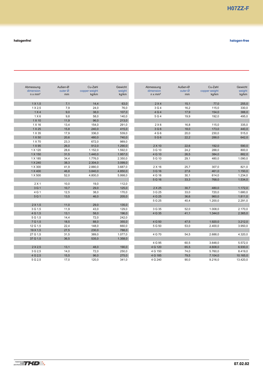| Abmessung      | Außen-Ø | Cu-Zahl       | Gewicht | Abmessung      | Außen-Ø | Cu-Zahl       | Gewicht  |
|----------------|---------|---------------|---------|----------------|---------|---------------|----------|
| dimension      | outer Ø | copper weight | weight  | dimension      | outer Ø | copper weight | weight   |
| $n \times mm2$ | mm      | kg/km         | kg/km   | $n \times mm2$ | mm      | kg/km         | kg/km    |
|                |         |               |         |                |         |               |          |
| $1 \times 1,5$ | 7,1     | 14,4          | 63,0    | 2 X 4          | 15,1    | 77,0          | 255,0    |
| $1 \times 2.5$ | 7,9     | 24,0          | 76,0    | 3 G 4          | 16,2    | 115,0         | 330,0    |
| 1 X 4          | 9,0     | 38,0          | 107,0   | 4 G 4          | 17,9    | 154,0         | 388,0    |
| 1X6            | 9,8     | 58,0          | 140,0   | 5 G 4          | 19,9    | 192,0         | 495,0    |
| 1 X 10         | 11,9    | 96,0          | 213,0   |                |         |               |          |
| 1 X 16         | 13,4    | 154,0         | 291,0   | 2X6            | 16,8    | 115,0         | 335,0    |
| 1 X 25         | 15,8    | 240,0         | 415,0   | 3 G 6          | 18,0    | 173,0         | 440,0    |
| 1 X 35         | 17,9    | 336,0         | 539,0   | 4 G 6          | 20,0    | 230,0         | 515,0    |
| 1 X 50         | 20,6    | 480,0         | 740,0   | 5 G 6          | 22,2    | 288,0         | 642,0    |
| 1 X 70         | 23,3    | 672,0         | 989,0   |                |         |               |          |
| 1 X 95         | 26,0    | 912,0         | 1.290,0 | 2 X 10         | 22,6    | 192,0         | 590,0    |
| 1 X 120        | 28,6    | 1.152,0       | 1.592,0 | 3 G 10         | 24,2    | 288,0         | 800,0    |
| 1 X 150        | 31,5    | 1.440,0       | 1.957,0 | 4 G 10         | 26,5    | 384,0         | 882,0    |
| 1 X 185        | 34,4    | 1.776,0       | 2.350,0 | 5 G 10         | 29,1    | 480,0         | 1.090,0  |
| 1 X 240        | 38,3    | 2.304,0       | 3.099,0 |                |         |               |          |
| 1 X 300        | 41,9    | 2.880,0       | 3.687,0 | 2 X 16         | 25,7    | 307,0         | 821,0    |
| 1 X 400        | 46,8    | 3.840,0       | 4.850,0 | 3 G 16         | 27,6    | 461,0         | 1.150,0  |
| 1 X 500        | 52,0    | 4.800,0       | 5.998,0 | 4 G 16         | 30,1    | 614,0         | 1.234,0  |
|                |         |               |         | 5 G 16         | 33,3    | 768,0         | 1.534,0  |
| $2 \times 1$   | 10,0    | 19,0          | 112,0   |                |         |               |          |
| 3 G 1          | 10,7    | 29,0          | 125,0   | 2 X 25         | 30,7    | 480,0         | 1.172,0  |
| 4 G 1          | 12,5    | 38,0          | 170,0   | 3 G 25         | 33,0    | 720,0         | 1.680,0  |
| 5 G 1          | 13,5    | 46,0          | 205,0   | 4 G 25         | 36,6    | 960,0         | 1.811,0  |
|                |         |               |         | 5 G 25         | 40,4    | 1.200,0       | 2.291,0  |
| $2 \times 1.5$ | 11,0    | 29,0          | 135,0   |                |         |               |          |
| 3 G 1.5        | 11,9    | 43,0          | 129,0   | 3 G 35         | 52,0    | 1.008,0       | 2.170,0  |
| 4 G 1,5        | 13,1    | 58,0          | 196,0   | 4 G 35         | 41,1    | 1.344,0       | 2.365,0  |
| 5 G 1,5        | 14,4    | 72,0          | 242,0   |                |         |               |          |
| 7 G 1.5        | 18,5    | 88,0          | 355,0   | 4 G 50         | 47,5    | 1.920,0       | 3.212,0  |
| 12 G 1,5       | 22,4    | 148,0         | 660,0   | 5 G 50         | 53,0    | 2.400,0       | 3.950,0  |
| 19 X 1,5       | 27,5    | 230,0         | 788,0   |                |         |               |          |
| 27 G 1,5       | 31,5    | 389,0         | 1.077,0 | 4 G 70         | 54,5    | 2.688,0       | 4.320,0  |
| 37 G 1,5       | 36,5    | 535,0         | 1.358,0 |                |         |               |          |
|                |         |               |         | 4 G 95         | 60,5    | 3.648,0       | 5.572,0  |
| 2 X 2,5        | 13,1    | 48,0          | 190,0   | 4 G 120        | 65,5    | 4.608,0       | 6.930,0  |
| 3 G 2.5        | 14,0    | 72,0          | 250,0   | 4 G 150        | 74,0    | 5.760,0       | 8.419,0  |
| 4 G 2.5        | 15,5    | 96,0          | 275,0   | 4 G 185        | 79,5    | 7.104,0       | 10.165,0 |
| 5 G 2.5        | 17,0    | 120,0         | 341,0   | 4 G 240        | 90,0    | 9.216,0       | 13.420,0 |
|                |         |               |         |                |         |               |          |

**halogenfrei halogen-free**

I ĺ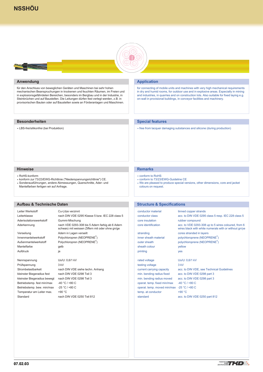

# <span id="page-8-0"></span>**Anwendung**

für den Anschluss von beweglichen Geräten und Maschinen bei sehr hohen mechanischen Beanspruchungen in trockenen und feuchten Räumen, im Freien und in explosionsgefährdeten Bereichen, besonders im Bergbau und in der Industrie, in Steinbrüchen und auf Baustellen. Die Leitungen dürfen fest verlegt werden, z.B. in provisorischen Bauten oder auf Baustellen sowie an Förderanlagen und Maschinen.

# **Besonderheiten**

LBS-frei/silikonfrei (bei Produktion)

# **Application**

for connecting of mobile units and machines with very high mechanical requirements in dry and humid rooms, for outdoor use and in explosive areas. Especially in mining and industries, in quarries and on construction lots. Also suitable for fixed laying e.g. on-wall in provisional buildings, in conveyor facilities and machinery.

# **Special features**

free from lacquer damaging substances and silicone (during production)

#### **Hinweise**

- RoHS-konform
- konform zur 73/23/EWG-Richtlinie ("Niederspannungsrichtlinie") CE.
- Sonderausführungen, andere Abmessungen, Querschnitte, Ader- und Mantelfarben fertigen wir auf Anfrage.

#### **Aufbau & Technische Daten**

Leiter Werkstoff Cu-Litze verzinnt Leiterklasse nach DIN VDE 0295 Klasse 5 bzw. IEC 228 class 5 Aderisolationswerkstoff Gummi-Mischung Aderkennung nach VDE 0293-308 bis 5 Adern farbig ab 6 Adern schwarz mit weissen Ziffern mit oder ohne gn/ge Verseilung **Adern in Lagen verseilt** Innenmantelwerkstoff Polychloropren (NEOPRENE®) Außenmantelwerkstoff Polychloropren (NEOPRENE®) Mantelfarbe gelb Aufdruck ja Nennspannung Uo/U: 0,6/1 kV

Prüfspannung 3 kV kleinster Biegeradius fest nach DIN VDE 0298 Teil 3 kleinster Biegeradius bewegt nach DIN VDE 0298 Teil 3 Betriebstemp. fest min/max -40 °C / +80 C Betriebstemp. bew. min/max -25 °C / +80 C Temperatur am Leiter max. +90 °C Standard nach DIN VDE 0250 Teil 812

Strombelastbarkeit nach DIN VDE siehe techn. Anhang

#### **Remarks**

- conform to RoHS
- conform to 73/23/EWG-Guideline CE
- We are pleased to produce special versions, other dimensions, core and jacket colours on request.

# **Structure & Specifications**

| tinned copper strands                                                                                        |
|--------------------------------------------------------------------------------------------------------------|
| acc. to DIN VDE 0295 class 5 resp. IEC 228 class 5                                                           |
| rubber compound                                                                                              |
| acc. to VDE 0293-308 up to 5 wires coloured, from 6<br>wires black with white numerals with or without gn/ye |
| cores stranded in layers                                                                                     |
| polychloroprene (NEOPRENE <sup>®</sup> )                                                                     |
| polychloroprene (NEOPRENE <sup>®</sup> )                                                                     |
| vellow                                                                                                       |
| <b>ves</b>                                                                                                   |
|                                                                                                              |
|                                                                                                              |

testing voltage 3 kV min. bending radius fixed acc. to DIN VDE 0298 part 3 min. bending radius moved acc. to DIN VDE 0298 part 3 operat. temp. fixed min/max -40 °C / +80 C operat. temp. moved min/max -25 °C / +80 C temp. at conductor  $+90 °C$ standard acc. to DIN VDE 0250 part 812

rated voltage Uo/U: 0,6/1 kV current carrying capacity acc. to DIN VDE, see Technical Guidelines

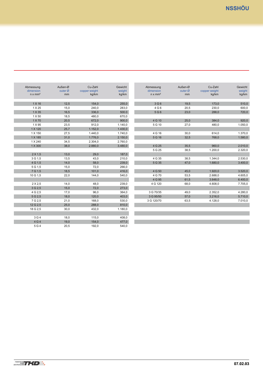| Gewicht<br>weight<br>kg/km | Abmessung<br>dimension<br>$n \times mm2$ | Außen-Ø<br>outer $Ø$<br>mm | Cu-Zahl<br>copper weight<br>kg/km | Gewicht<br>weight<br>kg/km |
|----------------------------|------------------------------------------|----------------------------|-----------------------------------|----------------------------|
| 255,0                      | 3 G 6                                    | 19,5                       | 173,0                             | 510,0                      |
| 283,0                      | 4 G 6                                    | 20,5                       | 230,0                             | 600,0                      |
| 500.0                      | 5 G 6                                    | 23,0                       | 288,0                             | 720,0                      |
| 670,0                      |                                          |                            |                                   |                            |
| 900,0                      | 4 G 10                                   | 25,0                       | 384,0                             | 920,0                      |
| 1.140,0                    | 5 G 10                                   | 27,0                       | 480,0                             | 1.050,0                    |
| 1.430,0                    |                                          |                            |                                   |                            |
| 1.740,0                    | 4 G 16                                   | 30,0                       | 614,0                             | 1.370,0                    |
| 2.150,0                    | 5 G 16                                   | 32,5                       | 768,0                             | 1.580,0                    |
| 2.760,0                    |                                          |                            |                                   |                            |
| 3.480,0                    | 4 G 25                                   | 35,5                       | 960,0                             | 2.010,0                    |
|                            | 5 G 25                                   | 38,5                       | 1.200,0                           | 2.320,0                    |
| 187,0                      |                                          |                            |                                   |                            |
| 210,0                      | 4 G 35                                   | 38,5                       | 1.344,0                           | 2.530,0                    |
| 239,0                      | 5 G 35                                   | 47.0                       | 1.680,0                           | 3.400,0                    |
| 266,0                      |                                          |                            |                                   |                            |
| 416,0                      | 4 G 50                                   | 45,0                       | 1.920,0                           | 3.520,0                    |
| 540,0                      | 4 G 70                                   | 53,5                       | 2.688,0                           | 4.605,0                    |
|                            | 4 G 95                                   | 61,5                       | 3.648,0                           | 6.400,0                    |
| 239,0                      | 4 G 120                                  | 68,0                       | 4.608,0                           | 7.705,0                    |
| 273,0                      |                                          |                            |                                   |                            |
| 364,0                      | 3 G 70/35                                | 49,0                       | 2.352,0                           | 4.280,0                    |
| 403,0                      | 3 G 95/50                                | 57,0                       | 3.216,0                           | 5.710,0                    |
| 530,0                      | 3 G 120/70                               | 63,5                       | 4.128,0                           | 7.010,0                    |
| 810,0                      |                                          |                            |                                   |                            |
| 1.180,0                    |                                          |                            |                                   |                            |

| Abmessung      | Außen-Ø   | Cu-Zahl       | Gewicht |
|----------------|-----------|---------------|---------|
| dimension      | outer $Ø$ | copper weight | weight  |
| $n \times mm2$ | mm        | kg/km         | kg/km   |
|                |           |               |         |
| 1 X 16         | 12,5      | 154,0         | 255,0   |
| 1 X 25         | 15,0      | 240,0         | 283,0   |
| 1 X 35         | 16,5      | 336,0         | 500.0   |
| 1 X 50         | 18,5      | 480,0         | 670,0   |
| 1 X 70         | 20,5      | 672,0         | 900,0   |
| 1 X 95         | 23,5      | 912,0         | 1.140,0 |
| 1 X 120        | 25,7      | 1.152,0       | 1.430,0 |
| 1 X 150        | 27,5      | 1.440,0       | 1.740,0 |
| 1 X 185        | 31,0      | 1.776,0       | 2.150,0 |
| 1 X 240        | 34,5      | 2.304,0       | 2.760,0 |
| 1 X 300        | 38,0      | 2.880,0       | 3.480,0 |
|                |           |               |         |
| $2 \times 1,5$ | 13,0      | 29,0          | 187,0   |
| 3 G 1.5        | 13,5      | 43,0          | 210,0   |
| 4 G 1,5        | 14,0      | 58,0          | 239,0   |
| 5 G 1,5        | 15,0      | 72,0          | 266,0   |
| 7 G 1,5        | 18,5      | 101,0         | 416,0   |
| 10 G 1,5       | 22,0      | 144,0         | 540,0   |
|                |           |               |         |
| $2 \times 2.5$ | 14,0      | 48,0          | 239,0   |
| 3 G 2,5        | 15,0      | 72,0          | 273,0   |
| 4 G 2.5        | 17,0      | 96,0          | 364,0   |
| 5 G 2.5        | 18,0      | 120,0         | 403,0   |
| 7 G 2.5        | 21,0      | 168,0         | 530,0   |
| 12 G 2,5       | 25,0      | 288,0         | 810,0   |
| 18 G 2,5       | 30,0      | 432,0         | 1.180,0 |
|                |           |               |         |
| 3 G 4          | 18,0      | 115,0         | 408,0   |
| 4 G 4          | 19,0      | 154,0         | 477,0   |
| 5 G 4          | 20,5      | 192,0         | 540,0   |
|                |           |               |         |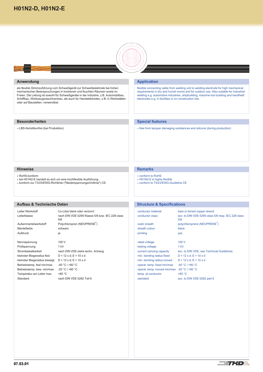

# <span id="page-10-0"></span>**Anwendung**

als flexible Stromzuführung vom Schweißgerät zur Schweißelektrode bei hohen mechanischen Beanspruchungen in trockenen und feuchten Räumen sowie im Freien. Die Leitung ist sowohl für Schweißgeräte in der Industrie, z.B. Automobilbau, Schiffbau, Werkzeugmaschinenbau, als auch für Handelektroden, z.B. in Werkstätten oder auf Baustellen, verwendbar.

# **Besonderheiten**

LBS-frei/silikonfrei (bei Produktion)

# **Application**

flexible connecting cable from welding unit to welding electrode for high mechanical requirements in dry and humid rooms and for outdoor use. Also suitable for industrial welding e.g. automotive industries, shipbuilding, machine tool building and handheld electrodes e.g. in facilities or on construction lots.

# **Special features**

free from lacquer damaging substances and silicone (during production)

#### **Hinweise**

RoHS-konform

- bei H01N2-E handelt es sich um eine hochflexible Ausführung.
- konform zur 73/23/EWG-Richtlinie ("Niederspannungsrichtlinie") CE.

# **Aufbau & Technische Daten**

| Leiter Werkstoff             | Cu-Litze blank oder verzinnt                           |
|------------------------------|--------------------------------------------------------|
| Leiterklasse                 | nach DIN VDE 0295 Klasse 5/6 bzw. IEC 228 class<br>5/6 |
| Außenmantelwerkstoff         | Polychloropren (NEOPRENE®)                             |
| Mantelfarbe                  | schwarz                                                |
| Aufdruck                     | ia                                                     |
| Nennspannung                 | 100 V                                                  |
| Prüfspannung                 | 1 kV                                                   |
| Strombelastbarkeit           | nach DIN VDE siehe techn. Anhang                       |
| kleinster Biegeradius fest   | $D = 12 \times d$ ; E = 10 x d                         |
| kleinster Biegeradius bewegt | $D = 12 \times d$ ; E = 10 x d                         |
| Betriebstemp. fest min/max   | $-40 °C / +80 °C$                                      |
| Betriebstemp. bew. min/max   | $-25 °C / +80 °C$                                      |
| Temperatur am Leiter max.    | $+85 °C$                                               |
| Standard                     | nach DIN VDE 0282 Teil 6                               |
|                              |                                                        |

# **Remarks**

- conform to RoHS
- H01N2-E is highly flexible
- conform to 73/23/EWG-Guideline CE

# **Structure & Specifications**

| conductor material                          | bare or tinned copper strand                              |
|---------------------------------------------|-----------------------------------------------------------|
| conductor class                             | acc. to DIN VDE 0295 class 5/6 resp. IEC 228 class<br>5/6 |
| outer sheath                                | polychloroprene (NEOPRENE®)                               |
| sheath colour                               | black                                                     |
| printing                                    | <b>yes</b>                                                |
| rated voltage                               | 100V                                                      |
| testing voltage                             | 1 kV                                                      |
| current carrying capacity                   | acc. to DIN VDE, see Technical Guidelines                 |
| min. bending radius fixed                   | $D = 12 \times d$ ; $E = 10 \times d$                     |
| min. bending radius moved                   | $D = 12 \times d$ ; $E = 10 \times d$                     |
| operat. temp. fixed min/max                 | $-40 °C / +80 °C$                                         |
| operat. temp. moved min/max -25 °C / +80 °C |                                                           |
| temp. at conductor                          | $+85 °C$                                                  |
| standard                                    | acc. to DIN VDE 0282 part 6                               |
|                                             |                                                           |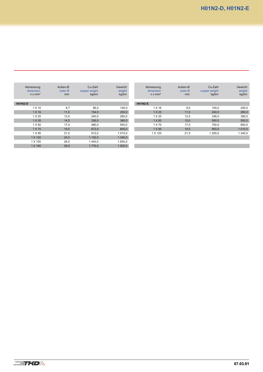| Abmessung<br>dimension<br>$n \times mm^2$ | Außen-Ø<br>outer $\varnothing$<br>mm | Cu-Zahl<br>copper weight<br>kg/km | Gewicht<br>weight<br>kg/km | Abmessung<br>dimension<br>$n \times mm^2$ | Außen-Ø<br>outer $\varnothing$<br>mm | Cu-Zahl<br>copper weight<br>kg/km | Gewicht<br>weight<br>kg/km |
|-------------------------------------------|--------------------------------------|-----------------------------------|----------------------------|-------------------------------------------|--------------------------------------|-----------------------------------|----------------------------|
| <b>H01N2-D</b>                            |                                      |                                   |                            | <b>H01N2-E</b>                            |                                      |                                   |                            |
| 1 X 10                                    | 9.7                                  | 96,0                              | 140,0                      | 1 X 16                                    | 9,5                                  | 154,0                             | 200,0                      |
| 1 X 16                                    | 11,5                                 | 154,0                             | 200,0                      | 1 X 25                                    | 11,0                                 | 240,0                             | 280,0                      |
| 1 X 25                                    | 13,0                                 | 240.0                             | 280,0                      | 1 X 35                                    | 12,5                                 | 336,0                             | 380,0                      |
| 1 X 35                                    | 14,5                                 | 336,0                             | 380,0                      | 1 X 50                                    | 15,0                                 | 500,0                             | 550,0                      |
| 1 X 50                                    | 17,0                                 | 480,0                             | 550,0                      | 1 X 70                                    | 17,0                                 | 700,0                             | 800,0                      |
| 1 X 70                                    | 19.0                                 | 672.0                             | 800,0                      | 1 X 95                                    | 19.5                                 | 950.0                             | 1.010,0                    |
| 1 X 95                                    | 21,5                                 | 912.0                             | 1.010.0                    | 1 X 120                                   | 21,5                                 | 1.200,0                           | 1.340,0                    |
| 1 X 120                                   | 24,0                                 | 1.152,0                           | 1.340,0                    |                                           |                                      |                                   |                            |
| 1 X 150                                   | 26,0                                 | 1.440.0                           | 1.650,0                    |                                           |                                      |                                   |                            |
| 1 X 185                                   | 28,9                                 | 1.776,0                           | 1.920,0                    |                                           |                                      |                                   |                            |
|                                           |                                      |                                   |                            |                                           |                                      |                                   |                            |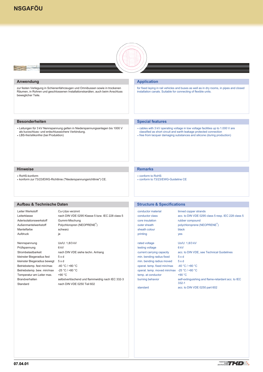# <span id="page-12-0"></span>**[NSGAFÖU](#page-1-0)**



# **Anwendung**

**Room** 

zur festen Verlegung in Schienenfahrzeugen und Omnibussen sowie in trockenen Räumen, in Rohren und geschlossenen Installationskanälen, auch beim Anschluss beweglicher Teile.

# **Application**

for fixed laying in rail vehicles and buses as well as in dry rooms, in pipes and closed installation canals. Suitable for connecting of flexible units.

# **Besonderheiten**

- Leitungen für 3 kV Nennspannung gelten in Niederspannungsanlagen bis 1000 V als kurzschluss- und erdschlusssichere Verbindung.
- LBS-frei/silikonfrei (bei Produktion)

# **Special features**

- cables with 3 kV operating voltage in low voltage facilities up to 1.000 V are classified as short circuit and earth leakage protected connection
- free from lacquer damaging substances and silicone (during production)

#### **Hinweise**

RoHS-konform

konform zur 73/23/EWG-Richtlinie ("Niederspannungsrichtlinie") CE.

# **Remarks**

- conform to RoHS
- conform to 73/23/EWG-Guideline CE

# **Aufbau & Technische Daten**

| Cu-Litze verzinnt                                |
|--------------------------------------------------|
| nach DIN VDE 0295 Klasse 5 bzw. IEC 228 class 5  |
| Gummi-Mischung                                   |
| Polychloropren (NEOPRENE®)                       |
| schwarz                                          |
| ja                                               |
|                                                  |
| Uo/U: 1,8/3 kV                                   |
| 6 kV                                             |
| nach DIN VDE siehe techn. Anhang                 |
| $5 \times d$                                     |
| $5 \times d$                                     |
| $-40 °C$ / +80 $°C$                              |
| $-25 °C / +80 °C$                                |
| +90 °C                                           |
| selbstverlöschend und flammwidrig nach IEC 332-3 |
| nach DIN VDE 0250 Teil 602                       |
|                                                  |

# **Structure & Specifications**

| conductor material          | tinned copper strands                                           |
|-----------------------------|-----------------------------------------------------------------|
| conductor class             | acc. to DIN VDE 0295 class 5 resp. IEC 228 class 5              |
| core insulation             | rubber compound                                                 |
| outer sheath                | polychloroprene (NEOPRENE <sup>®</sup> )                        |
| sheath colour               | black                                                           |
| printing                    | <b>yes</b>                                                      |
|                             |                                                                 |
| rated voltage               | Uo/U: 1,8/3 kV                                                  |
| testing voltage             | 6 <sub>kV</sub>                                                 |
| current carrying capacity   | acc. to DIN VDE, see Technical Guidelines                       |
| min. bending radius fixed   | 5xd                                                             |
| min. bending radius moved   | 5xd                                                             |
| operat. temp. fixed min/max | $-40 °C / +80 °C$                                               |
| operat. temp. moved min/max | $-25 °C / +80 °C$                                               |
| temp. at conductor          | +90 °C                                                          |
| burning behavior            | self-extinguishing and flame-retardant acc. to IEC<br>$332 - 1$ |
| standard                    | acc. to DIN VDE 0250 part 602                                   |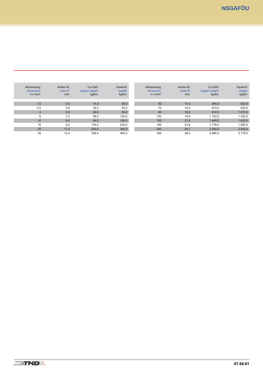| Abmessung<br>dimension<br>$n \times mm2$ | Außen-Ø<br>outer $\varnothing$<br>mm | Cu-Zahl<br>copper weight<br>kg/km | Gewicht<br>weight<br>kg/km | Abmessung<br>dimension<br>$n \times mm^2$ | Außen-Ø<br>outer $\varnothing$<br>mm | Cu-Zahl<br>copper weight<br>kg/km | Gewicht<br>weight<br>kg/km |
|------------------------------------------|--------------------------------------|-----------------------------------|----------------------------|-------------------------------------------|--------------------------------------|-----------------------------------|----------------------------|
| 1,5                                      | 5,5                                  | 14,4                              | 50,0                       | 50                                        | 14,3                                 | 480,0                             | 620,0                      |
| 2,5                                      | 5,9                                  | 24,0                              | 65,0                       | 70                                        | 16,0                                 | 672.0                             | 820,0                      |
| $\overline{4}$                           | 6,4                                  | 38,0                              | 85,0                       | 95                                        | 18,2                                 | 912,0                             | 1.070,0                    |
| 6                                        | 7,0                                  | 58,0                              | 105,0                      | 120                                       | 19,9                                 | 1.152,0                           | 1.320,0                    |
| 10                                       | 8,4                                  | 96,0                              | 160,0                      | 150                                       | 21,8                                 | 1.440,0                           | 1.620,0                    |
| 16                                       | 9,2                                  | 154,0                             | 235,0                      | 185                                       | 23,8                                 | 1.776,0                           | 1.950,0                    |
| 25                                       | 11,5                                 | 240.0                             | 360,0                      | 240                                       | 26,7                                 | 2.304,0                           | 2.540,0                    |
| 35                                       | 12,8                                 | 336,0                             | 460,0                      | 300                                       | 38,0                                 | 2.880,0                           | 3.178,0                    |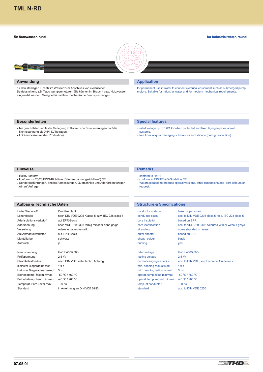# <span id="page-14-0"></span>**[TML N-RD](#page-1-0)**

#### **für Nutzwasser, rund**

#### **for industrial water, round**



#### **Anwendung**

für den ständigen Einsatz im Wasser zum Anschluss von elektrischen Betriebsmitteln, z.B. Tauchpumpenmotoren. Sie können im Brauch- bzw. Nutzwasser eingesetzt werden. Geeignet für mittlere mechanische Beanspruchungen.

# **Application**

for permanent use in water to connect electrical equipment such as submerged pump motors. Suitable for industrial water and for medium mechanical requirements.

rated voltage up to 0.6/1 kV when protected and fixed laying in pipes of well

free from lacquer damaging substances and silicone (during production)

# **Besonderheiten**

**Hinweise** RoHS-konform

wir auf Anfrage.

bei geschützter und fester Verlegung in Rohren von Brunnenanlagen darf die Nennspannung bis 0,6/1 kV betragen.

konform zur 73/23/EWG-Richtlinie ("Niederspannungsrichtlinie") CE.

Sonderausführungen, andere Abmessungen, Querschnitte und Aderfarben fertigen

LBS-frei/silikonfrei (bei Produktion)

# **Remarks**

systems.

conform to RoHS

**Special features**

- conform to 73/23/EWG-Guideline CE
- We are pleased to produce special versions, other dimensions and core colours on request.

# **Structure & Specifications**

| conductor material  | bare copper strand                                  |
|---------------------|-----------------------------------------------------|
| conductor class     | acc. to DIN VDE 0295 class 5 resp. IEC 228 class 5  |
| core insulation     | based on EPR                                        |
| core identification | acc. to VDE 0293-308 coloured with or without gn/ye |
| stranding           | cores stranded in layers                            |
| outer sheath        | based on EPR                                        |
| sheath colour       | black                                               |
| printing            | yes                                                 |
|                     |                                                     |

rated voltage Uo/U: 450/750 V testing voltage 2,5 kV min. bending radius fixed  $4 \times d$ min. bending radius moved  $5 \times d$ operat. temp. fixed min/max -50 °C / +60 °C operat. temp. moved min/max -40 °C / +60 °C temp. at conductor  $+90 °C$ standard acc. to DIN VDE 0250

current carrying capacity acc. to DIN VDE, see Technical Guidelines

Leiterklasse nach DIN VDE 0295 Klasse 5 bzw. IEC 228 class 5 Aderisolationswerkstoff auf EPR-Basis Aderkennung nach VDE 0293-308 farbig mit oder ohne gn/ge Verseilung **Adern in Lagen verseilt** Außenmantelwerkstoff auf EPR-Basis Mantelfarbe schwarz Aufdruck ja

**Aufbau & Technische Daten** Leiter Werkstoff Cu-Litze blank

Nennspannung Uo/U: 450/750 V Prüfspannung 2,5 kV kleinster Biegeradius fest 4 x d kleinster Biegeradius bewegt 5 x d Betriebstemp. fest min/max -50 °C / +60 °C Betriebstemp. bew. min/max -40 °C / +60 °C Temperatur am Leiter max. +90 °C Standard in Anlehnung an DIN VDE 0250

Strombelastbarkeit nach DIN VDE siehe techn. Anhang

 $(1)$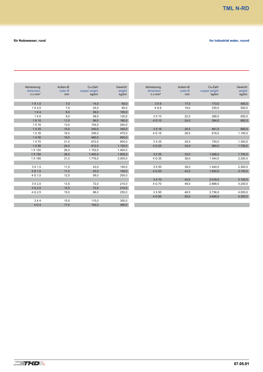**The Co** e.

| Gewicht<br>weight | Cu-Zahl<br>copper weight | Außen-Ø<br>outer Ø | Abmessung<br>dimension | Gewicht<br>weight | Cu-Zahl<br>copper weight | Außen-Ø<br>outer Ø | Abmessung<br>dimension |
|-------------------|--------------------------|--------------------|------------------------|-------------------|--------------------------|--------------------|------------------------|
| kg/km             | kg/km                    | mm                 | $n \times mm2$         | kg/km             | kg/km                    | mm                 | $n \times mm2$         |
| 400,0             | 173,0                    | 17,0               | 3X6                    | 60,0              | 14,0                     | 7,0                | $1 \times 1.5$         |
| 500,0             | 230,0                    | 19,0               | 4 G 6                  | 80,0              | 24,0                     | 7,5                | $1 \times 2.5$         |
|                   |                          |                    |                        | 100,0             | 38,0                     | 8,5                | 1 X4                   |
| 650,0             | 288,0                    | 22,5               | 3 X 10                 | 120,0             | 58,0                     | 9,5                | 1X6                    |
| 800,0             | 384,0                    | 24,0               | 4 G 10                 | 180,0             | 96,0                     | 11,0               | 1 X 10                 |
|                   |                          |                    |                        | 240,0             | 154,0                    | 13,0               | 1 X 16                 |
| 900,0             | 461,0                    | 25,5               | 3 X 16                 | 350,0             | 240,0                    | 15,0               | 1 X 25                 |
| 1.100,0           | 616,0                    | 28,5               | 4 G 16                 | 470,0             | 336,0                    | 16,0               | 1 X 35                 |
|                   |                          |                    |                        | 650,0             | 480,0                    | 18,5               | 1 X 50                 |
| 1.300,0           | 720,0                    | 29,5               | 3 X 25                 | 900,0             | 672,0                    | 21,0               | 1 X 70                 |
| 1.700,0           | 960,0                    | 34,0               | 4 G 25                 | 1.150,0           | 912,0                    | 24,0               | 1 X 95                 |
|                   |                          |                    |                        | 1.400,0           | 1.152,0                  | 26,0               | 1 X 120                |
| 1.700,0           | 1.008,0                  | 33,0               | 3 X 35                 | 1.800,0           | 1.440,0                  | 28,0               | 1 X 150                |
| 2.200,0           | 1.344,0                  | 38,0               | 4 G 35                 | 2.000,0           | 1.776,0                  | 31,0               | 1 X 185                |
|                   |                          |                    |                        |                   |                          |                    |                        |
| 2.300,0           | 1.440,0                  | 39,0               | 3 X 50                 | 140,0             | 43,0                     | 11,0               | 3 X 1.5                |
| 3.100,0           | 1.920,0                  | 43,0               | 4 G 50                 | 140,0             | 43,0                     | 11,0               | 3 G 1.5                |
|                   |                          |                    |                        | 200,0             | 58,0                     | 12,5               | 4 G 1.5                |
| 3.100,0           | 2.016,0                  | 43,0               | 3 X 70                 |                   |                          |                    |                        |
| 4.200,0           | 2.688,0                  | 49,0               | 4 G 70                 | 210,0             | 72,0                     | 13,5               | 3 X 2.5                |
|                   |                          |                    |                        | 210,0             | 72,0                     | 13,5               | 3 G 2.5                |
| 4.000,0           | 2.736,0                  | 48,5               | 3 X 95                 | 250,0             | 96,0                     | 15,0               | 4 G 2.5                |
| 5.300,0           | 3.648,0                  | 55,0               | 4 G 95                 |                   |                          |                    |                        |
|                   |                          |                    |                        | 300,0             | 115,0                    | 15,5               | 3 X 4                  |
|                   |                          |                    |                        | 360,0             | 154,0                    | 17,0               | 4 G 4                  |
|                   |                          |                    |                        |                   |                          |                    |                        |

# **für Nutzwasser, rund for industrial water, round**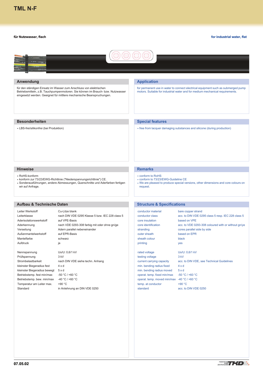#### <span id="page-16-0"></span>**für Nutzwasser, flach**



# **Anwendung**

für den ständigen Einsatz im Wasser zum Anschluss von elektrischen Betriebsmitteln, z.B. Tauchpumpenmotoren. Sie können im Brauch- bzw. Nutzwasser eingesetzt werden. Geeignet für mittlere mechanische Beanspruchungen.

# **Application**

for permanent use in water to connect electrical equipment such as submerged pump motors. Suitable for industrial water and for medium mechanical requirements.

# **Besonderheiten**

LBS-frei/silikonfrei (bei Produktion)

# **Special features**

free from lacquer damaging substances and silicone (during production)

#### **Hinweise**

- RoHS-konform
- konform zur 73/23/EWG-Richtlinie ("Niederspannungsrichtlinie") CE.
- Sonderausführungen, andere Abmessungen, Querschnitte und Aderfarben fertigen wir auf Anfrage.

#### **Aufbau & Technische Daten**

Leiter Werkstoff Cu-Litze blank Leiterklasse nach DIN VDE 0295 Klasse 5 bzw. IEC 228 class 5 Aderisolationswerkstoff auf VPE-Basis Aderkennung nach VDE 0293-308 farbig mit oder ohne gn/ge Verseilung **Adern parallel nebeneinander** Außenmantelwerkstoff auf EPR-Basis Mantelfarbe schwarz Aufdruck ja

Prüfspannung 3 kV kleinster Biegeradius fest 4 x d kleinster Biegeradius bewegt 5 x d Betriebstemp. fest min/max -50 °C / +60 °C Betriebstemp. bew. min/max -40 °C / +60 °C Temperatur am Leiter max. +90 °C Standard in Anlehnung an DIN VDE 0250

Nennspannung Uo/U: 0,6/1 kV Strombelastbarkeit nach DIN VDE siehe techn. Anhang

#### **Remarks**

- conform to RoHS
- conform to 73/23/EWG-Guideline CE
- We are pleased to produce special versions, other dimensions and core colours on request.

# **Structure & Specifications**

| conductor material  | bare copper strand                                  |
|---------------------|-----------------------------------------------------|
| conductor class     | acc. to DIN VDE 0295 class 5 resp. IEC 228 class 5  |
| core insulation     | based on VPE                                        |
| core identification | acc. to VDE 0293-308 coloured with or without gn/ye |
| stranding           | cores parallel side by side                         |
| outer sheath        | based on EPR                                        |
| sheath colour       | black                                               |
| printing            | <b>ves</b>                                          |
| rated voltage       | Uo/U: 0.6/1 kV                                      |

testing voltage 3 kV min. bending radius fixed  $4 \times d$ min. bending radius moved  $5 \times d$ operat. temp. fixed min/max -50 °C / +60 °C operat. temp. moved min/max -40 °C / +60 °C temp. at conductor  $+90 °C$ standard acc. to DIN VDE 0250

current carrying capacity acc. to DIN VDE, see Technical Guidelines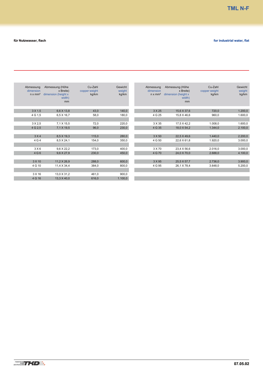| Abmessung<br>dimension<br>$n \times mm^2$ | Abmessung (Höhe<br>x Breite)<br>dimension (height x<br>width)<br><sub>mm</sub> | Cu-Zahl<br>copper weight<br>kg/km | Gewicht<br>weight<br>kg/km | Abmessung<br>dimension<br>$n \times mm^2$ | Abmessung (Höhe<br>x Breite)<br>dimension (height x<br>width)<br>mm | Cu-Zahl<br>copper weight<br>kg/km | Gewicht<br>weight<br>kg/km |
|-------------------------------------------|--------------------------------------------------------------------------------|-----------------------------------|----------------------------|-------------------------------------------|---------------------------------------------------------------------|-----------------------------------|----------------------------|
|                                           |                                                                                |                                   |                            |                                           |                                                                     |                                   |                            |
| 3 X 1,5                                   | 6,6 X 13,8                                                                     | 43,0                              | 140,0                      | 3 X 25                                    | 15,6 X 37,6                                                         | 720,0                             | 1.200,0                    |
| 4 G 1.5                                   | $6.5 \times 16.7$                                                              | 58,0                              | 180,0                      | 4 G 25                                    | 15,8 X 46,6                                                         | 960,0                             | 1.600,0                    |
|                                           |                                                                                |                                   |                            |                                           |                                                                     |                                   |                            |
| 3 X 2,5                                   | 7,1 X 15,5                                                                     | 72,0                              | 220,0                      | 3 X 35                                    | 17,5 X 42,2                                                         | 1.008,0                           | 1.600,0                    |
| 4 G 2.5                                   | $7.1 \times 19.5$                                                              | 96,0                              | 230,0                      | 4 G 35                                    | 18,0 X 54,2                                                         | 1.344,0                           | 2.100,0                    |
|                                           |                                                                                |                                   |                            |                                           |                                                                     |                                   |                            |
| 3X4                                       | 8,5 X 19,3                                                                     | 115,0                             | 280,0                      | 3 X 50                                    | 22,5 X 49,6                                                         | 1.440,0                           | 2.200,0                    |
| 4 G 4                                     | 8,5 X 24,1                                                                     | 154,0                             | 350,0                      | 4 G 50                                    | 22,6 X 61,8                                                         | 1.920,0                           | 3.000,0                    |
|                                           |                                                                                |                                   |                            |                                           |                                                                     |                                   |                            |
| 3X6                                       | $9,6 \times 22,2$                                                              | 173,0                             | 400,0                      | 3 X 70                                    | 23,4 X 56,6                                                         | 2.016,0                           | 3.000,0                    |
| 4 G 6                                     | $9,6 \times 27,9$                                                              | 230,0                             | 450,0                      | 4 G 70                                    | 24,0 X 70,0                                                         | 2.688,0                           | 4.100,0                    |
|                                           |                                                                                |                                   |                            |                                           |                                                                     |                                   |                            |
| 3 X 10                                    | 11,2 X 26,9                                                                    | 288,0                             | 600,0                      | 3 X 95                                    | 25,5 X 57,7                                                         | 2.736,0                           | 3.900,0                    |
| 4 G 10                                    | 11,4 X 34,4                                                                    | 384,0                             | 800,0                      | 4 G 95                                    | 26,1 X 78,4                                                         | 3.648,0                           | 5.200,0                    |
|                                           |                                                                                |                                   |                            |                                           |                                                                     |                                   |                            |
| 3 X 16                                    | 13,0 X 31,2                                                                    | 461,0                             | 900,0                      |                                           |                                                                     |                                   |                            |
| 4 G 16                                    | $13.3 \times 40.0$                                                             | 616,0                             | 1.100,0                    |                                           |                                                                     |                                   |                            |
|                                           |                                                                                |                                   |                            |                                           |                                                                     |                                   |                            |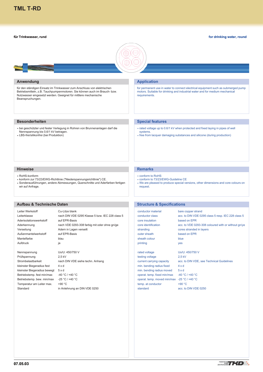#### <span id="page-18-0"></span>**für Trinkwasser, rund**

#### **for drinking water, round**



#### **Anwendung**

für den ständigen Einsatz im Trinkwasser zum Anschluss von elektrischen Betriebsmitteln, z.B. Tauchpumpenmotoren. Sie können auch im Brauch- bzw. Nutzwasser eingesetzt werden. Geeignet für mittlere mechanische Beanspruchungen.

# **Besonderheiten**

- bei geschützter und fester Verlegung in Rohren von Brunnenanlagen darf die Nennspannung bis 0,6/1 kV betragen.
- LBS-frei/silikonfrei (bei Produktion)

#### **Hinweise**

- RoHS-konform
- konform zur 73/23/EWG-Richtlinie ("Niederspannungsrichtlinie") CE.
- [Sonderausführungen, andere Abmessungen, Querschnitte und Aderfarben fertigen](#page-1-0) wir auf Anfrage.

#### **Aufbau & Technische Daten**

Leiter Werkstoff Cu-Litze blank Leiterklasse nach DIN VDE 0295 Klasse 5 bzw. IEC 228 class 5 Aderisolationswerkstoff auf EPR-Basis Aderkennung nach VDE 0293-308 farbig mit oder ohne gn/ge Verseilung **Adern in Lagen verseilt** Außenmantelwerkstoff auf EPR-Basis Mantelfarbe **blau** Aufdruck ja

Nennspannung Uo/U: 450/750 V Prüfspannung 2,5 kV kleinster Biegeradius fest 4 x d kleinster Biegeradius bewegt 5 x d Betriebstemp. fest min/max -40 °C / +40 °C Betriebstemp. bew. min/max -25 °C / +40 °C Temperatur am Leiter max. +90 °C Standard in Anlehnung an DIN VDE 0250

Strombelastbarkeit nach DIN VDE siehe techn. Anhang

# **Application**

for permanent use in water to connect electrical equipment such as submerged pump motors. Suitable for drinking and industrial water and for medium mechanical requirements.

# **Special features**

- rated voltage up to 0.6/1 kV when protected and fixed laying in pipes of well systems.
- free from lacquer damaging substances and silicone (during production)

# **Remarks**

- conform to RoHS
- conform to 73/23/EWG-Guideline CE
- We are pleased to produce special versions, other dimensions and core colours on request.

# **Structure & Specifications**

| conductor material  | bare copper strand                                  |
|---------------------|-----------------------------------------------------|
| conductor class     | acc. to DIN VDE 0295 class 5 resp. IEC 228 class 5  |
| core insulation     | based on EPR                                        |
| core identification | acc. to VDE 0293-308 coloured with or without gn/ye |
| stranding           | cores stranded in layers                            |
| outer sheath        | based on EPR                                        |
| sheath colour       | blue                                                |
| printing            | yes                                                 |
|                     |                                                     |
|                     |                                                     |

rated voltage Uo/U: 450/750 V testing voltage 2,5 kV min. bending radius fixed  $4 \times d$ min. bending radius moved  $5 \times d$ operat. temp. fixed min/max -40 °C / +40 °C operat. temp. moved min/max -25 °C / +40 °C temp. at conductor  $+90 °C$ standard acc. to DIN VDE 0250

current carrying capacity acc. to DIN VDE, see Technical Guidelines

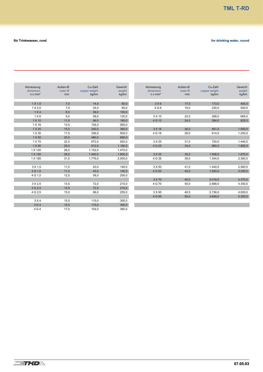| für Trinkwasser, rund | for drinking water, round |
|-----------------------|---------------------------|
|                       |                           |

| Abmessung      | Außen-Ø | Cu-Zahl       | Gewicht | Abmessung      | Außen-Ø | Cu-Zahl       | Gewicht |
|----------------|---------|---------------|---------|----------------|---------|---------------|---------|
| dimension      | outer Ø | copper weight | weight  | dimension      | outer Ø | copper weight | weight  |
| $n \times mm2$ | mm      | kg/km         | kg/km   | $n \times mm2$ | mm      | kg/km         | kg/km   |
|                |         |               |         |                |         |               |         |
| $1 \times 1.5$ | 7,0     | 14,4          | 60,0    | 3X6            | 17,0    | 173,0         | 400,0   |
| $1 \times 2.5$ | 7,5     | 24,0          | 80,0    | 4 G 6          | 19,0    | 230,0         | 500,0   |
| 1 X4           | 8,5     | 38,0          | 100,0   |                |         |               |         |
| $1 \times 6$   | 9,5     | 58,0          | 120,0   | 3 X 10         | 22,5    | 288,0         | 665,0   |
| 1 X 10         | 11,0    | 96,0          | 180,0   | 4 G 10         | 24,0    | 384,0         | 825,0   |
| 1 X 16         | 13,5    | 154,0         | 265,0   |                |         |               |         |
| 1 X 25         | 15,5    | 240,0         | 380,0   | 3 X 16         | 26,0    | 461,0         | 1.000,0 |
| 1 X 35         | 17,5    | 336,0         | 500,0   | 4 G 16         | 29,0    | 614,0         | 1.250,0 |
| 1 X 50         | 20,0    | 480,0         | 690,0   |                |         |               |         |
| 1 X 70         | 22,5    | 672,0         | 920,0   | 3 X 25         | 31,0    | 720,0         | 1.440,0 |
| 1 X 95         | 25,0    | 912,0         | 1.180,0 | 4 G 25         | 34,0    | 960,0         | 1.800,0 |
| 1 X 120        | 26,5    | 1.152,0       | 1.470,0 |                |         |               |         |
| 1 X 150        | 28,0    | 1.440,0       | 1.800,0 | 3 X 35         | 35,5    | 1.008,0       | 1.870,0 |
| 1 X 185        | 31,0    | 1.776,0       | 2.000,0 | 4 G 35         | 39,0    | 1.344,0       | 2.360,0 |
|                |         |               |         |                |         |               |         |
| 3 X 1.5        | 11,0    | 43,0          | 140,0   | 3 X 50         | 41,0    | 1.440,0       | 2.560,0 |
| 3 G 1.5        | 11,0    | 43,0          | 140,0   | 4 G 50         | 45,0    | 1.920,0       | 3.250,0 |
| 4 G 1,5        | 12,5    | 58,0          | 200,0   |                |         |               |         |
|                |         |               |         | 3 X 70         | 45,0    | 2.016,0       | 3.370,0 |
| 3 X 2.5        | 13,5    | 72,0          | 210,0   | 4 G 70         | 50,0    | 2.688,0       | 4.300,0 |
| 3 G 2.5        | 13,5    | 72,0          | 210,0   |                |         |               |         |
| 4 G 2.5        | 15,0    | 96,0          | 250,0   | 3 X 95         | 48,5    | 2.736,0       | 4.000,0 |
|                |         |               |         | 4 G 95         | 55,0    | 3.648,0       | 5.300,0 |
| 3 X 4          | 15,5    | 115,0         | 300,0   |                |         |               |         |
| 3 G 4          | 15,5    | 115,0         | 300.0   |                |         |               |         |
| 4 G 4          | 17,0    | 154,0         | 360,0   |                |         |               |         |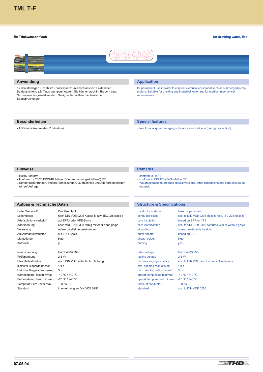#### <span id="page-20-0"></span>**für Trinkwasser, flach**

**for drinking water, flat**



# **Anwendung**

für den ständigen Einsatz im Trinkwasser zum Anschluss von elektrischen Betriebsmitteln, z.B. Tauchpumpenmotoren. Sie können auch im Brauch- bzw. Nutzwasser eingesetzt werden. Geeignet für mittlere mechanische Beanspruchungen.

# **Application**

for permanent use in water to connect electrical equipment such as submerged pump motors. Suitable for drinking and industrial water and for medium mechanical requirements.

# **Besonderheiten**

LBS-frei/silikonfrei (bei Produktion)

#### **Special features**

free from lacquer damaging substances and silicone (during production)

#### **Hinweise**

RoHS-konform

- konform zur 73/23/EWG-Richtlinie ("Niederspannungsrichtlinie") CE.
- Sonderausführungen, andere Abmessungen, Querschnitte und Aderfarben fertigen wir auf Anfrage.

#### **Aufbau & Technische Daten**

Leiter Werkstoff Cu-Litze blank Leiterklasse nach DIN VDE 0295 Klasse 5 bzw. IEC 228 class 5 Aderisolationswerkstoff auf EPR- oder VPE-Basis Aderkennung nach VDE 0293-308 farbig mit oder ohne gn/ge Verseilung **Adern parallel nebeneinander** Außenmantelwerkstoff auf EPR-Basis Mantelfarbe **blau** Aufdruck ja

Nennspannung Uo/U: 450/750 V Prüfspannung 2,5 kV kleinster Biegeradius fest 4 x d kleinster Biegeradius bewegt 5 x d Betriebstemp. fest min/max -40 °C / +40 °C Betriebstemp. bew. min/max -25 °C / +40 °C Temperatur am Leiter max. +90 °C Standard in Anlehnung an DIN VDE 0250

Strombelastbarkeit nach DIN VDE siehe techn. Anhang

#### **Remarks**

- conform to RoHS
- conform to 73/23/EWG-Guideline CE
- We are pleased to produce special versions, other dimensions and core colours on request.

# **Structure & Specifications**

| conductor material  | bare copper strand                                  |
|---------------------|-----------------------------------------------------|
| conductor class     | acc. to DIN VDE 0295 class 5 resp. IEC 228 class 5  |
| core insulation     | based on EPR or VPE                                 |
| core identification | acc. to VDE 0293-308 coloured with or without gn/ye |
| stranding           | cores parallel side by side                         |
| outer sheath        | based on EPR                                        |
| sheath colour       | blue                                                |
| printing            | <b>ves</b>                                          |
|                     |                                                     |

rated voltage Uo/U: 450/750 V testing voltage 2,5 kV min. bending radius fixed  $4 \times d$ min. bending radius moved  $5 \times d$ operat. temp. fixed min/max -40 °C / +40 °C operat. temp. moved min/max -25 °C / +40 °C temp. at conductor  $+90 °C$ standard acc. to DIN VDE 0250

current carrying capacity acc. to DIN VDE, see Technical Guidelines